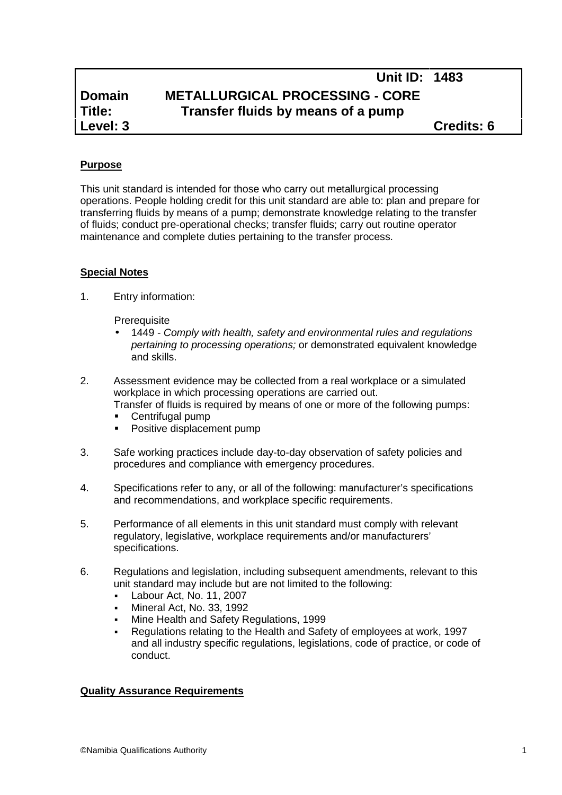# **Domain METALLURGICAL PROCESSING - CORE Title: Transfer fluids by means of a pump**

**Unit ID: 1483**

# **Purpose**

This unit standard is intended for those who carry out metallurgical processing operations. People holding credit for this unit standard are able to: plan and prepare for transferring fluids by means of a pump; demonstrate knowledge relating to the transfer of fluids; conduct pre-operational checks; transfer fluids; carry out routine operator maintenance and complete duties pertaining to the transfer process.

## **Special Notes**

1. Entry information:

**Prerequisite** 

- 1449 *- Comply with health, safety and environmental rules and regulations pertaining to processing operations;* or demonstrated equivalent knowledge and skills.
- 2. Assessment evidence may be collected from a real workplace or a simulated workplace in which processing operations are carried out.

Transfer of fluids is required by means of one or more of the following pumps:

- **Centrifugal pump**<br>**Positive displacent**
- Positive displacement pump
- 3. Safe working practices include day-to-day observation of safety policies and procedures and compliance with emergency procedures.
- 4. Specifications refer to any, or all of the following: manufacturer's specifications and recommendations, and workplace specific requirements.
- 5. Performance of all elements in this unit standard must comply with relevant regulatory, legislative, workplace requirements and/or manufacturers' specifications.
- 6. Regulations and legislation, including subsequent amendments, relevant to this unit standard may include but are not limited to the following:
	- Labour Act, No. 11, 2007
	- Mineral Act, No. 33, 1992
	- Mine Health and Safety Regulations, 1999
	- Regulations relating to the Health and Safety of employees at work, 1997 and all industry specific regulations, legislations, code of practice, or code of conduct.

#### **Quality Assurance Requirements**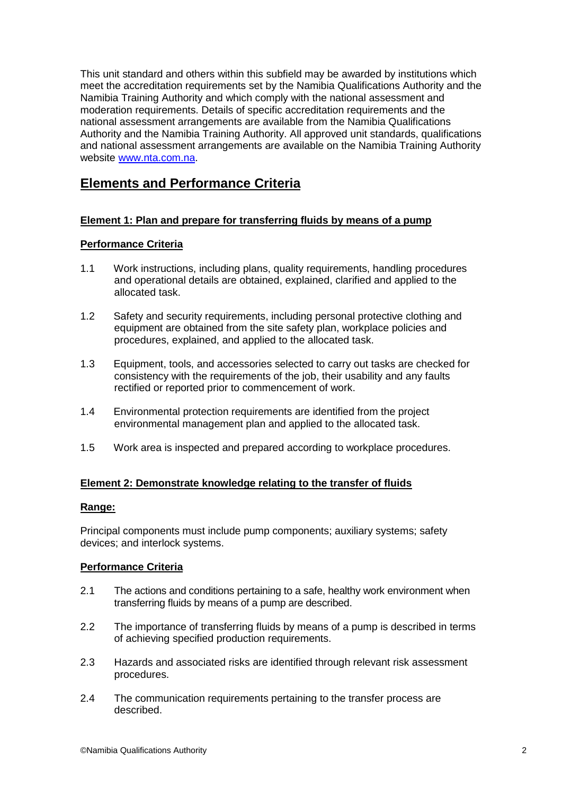This unit standard and others within this subfield may be awarded by institutions which meet the accreditation requirements set by the Namibia Qualifications Authority and the Namibia Training Authority and which comply with the national assessment and moderation requirements. Details of specific accreditation requirements and the national assessment arrangements are available from the Namibia Qualifications Authority and the Namibia Training Authority. All approved unit standards, qualifications and national assessment arrangements are available on the Namibia Training Authority website www.nta.com.na.

# **Elements and Performance Criteria**

### **Element 1: Plan and prepare for transferring fluids by means of a pump**

#### **Performance Criteria**

- 1.1 Work instructions, including plans, quality requirements, handling procedures and operational details are obtained, explained, clarified and applied to the allocated task.
- 1.2 Safety and security requirements, including personal protective clothing and equipment are obtained from the site safety plan, workplace policies and procedures, explained, and applied to the allocated task.
- 1.3 Equipment, tools, and accessories selected to carry out tasks are checked for consistency with the requirements of the job, their usability and any faults rectified or reported prior to commencement of work.
- 1.4 Environmental protection requirements are identified from the project environmental management plan and applied to the allocated task.
- 1.5 Work area is inspected and prepared according to workplace procedures.

#### **Element 2: Demonstrate knowledge relating to the transfer of fluids**

#### **Range:**

Principal components must include pump components; auxiliary systems; safety devices; and interlock systems.

#### **Performance Criteria**

- 2.1 The actions and conditions pertaining to a safe, healthy work environment when transferring fluids by means of a pump are described.
- 2.2 The importance of transferring fluids by means of a pump is described in terms of achieving specified production requirements.
- 2.3 Hazards and associated risks are identified through relevant risk assessment procedures.
- 2.4 The communication requirements pertaining to the transfer process are described.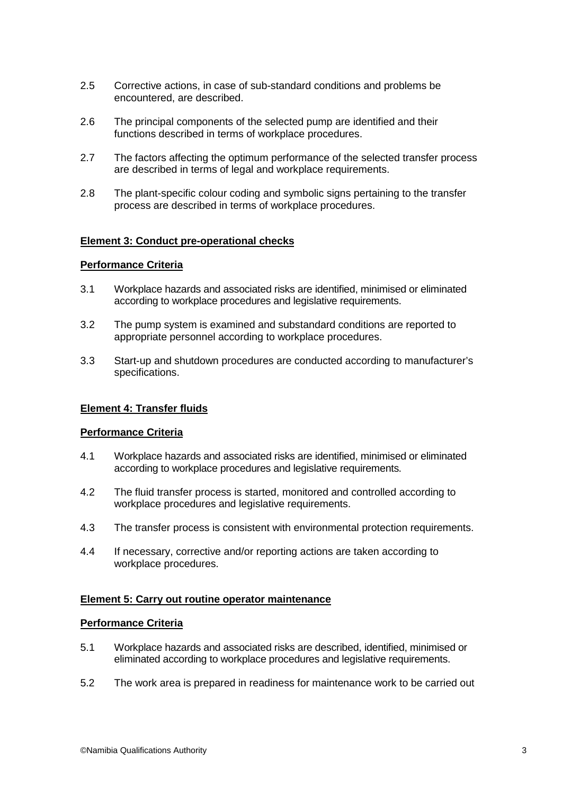- 2.5 Corrective actions, in case of sub-standard conditions and problems be encountered, are described.
- 2.6 The principal components of the selected pump are identified and their functions described in terms of workplace procedures.
- 2.7 The factors affecting the optimum performance of the selected transfer process are described in terms of legal and workplace requirements.
- 2.8 The plant-specific colour coding and symbolic signs pertaining to the transfer process are described in terms of workplace procedures.

#### **Element 3: Conduct pre-operational checks**

#### **Performance Criteria**

- 3.1 Workplace hazards and associated risks are identified, minimised or eliminated according to workplace procedures and legislative requirements.
- 3.2 The pump system is examined and substandard conditions are reported to appropriate personnel according to workplace procedures.
- 3.3 Start-up and shutdown procedures are conducted according to manufacturer's specifications.

#### **Element 4: Transfer fluids**

#### **Performance Criteria**

- 4.1 Workplace hazards and associated risks are identified, minimised or eliminated according to workplace procedures and legislative requirements.
- 4.2 The fluid transfer process is started, monitored and controlled according to workplace procedures and legislative requirements.
- 4.3 The transfer process is consistent with environmental protection requirements.
- 4.4 If necessary, corrective and/or reporting actions are taken according to workplace procedures.

#### **Element 5: Carry out routine operator maintenance**

#### **Performance Criteria**

- 5.1 Workplace hazards and associated risks are described, identified, minimised or eliminated according to workplace procedures and legislative requirements.
- 5.2 The work area is prepared in readiness for maintenance work to be carried out